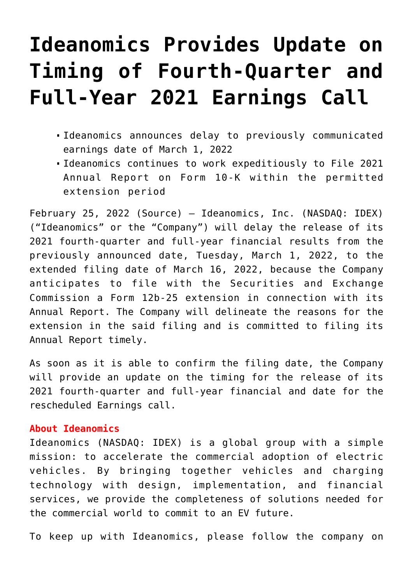## **[Ideanomics Provides Update on](https://investorintel.com/markets/cleantech/cleantech-news/ideanomics-provides-update-on-timing-of-fourth-quarter-and-full-year-2021-earnings-call/) [Timing of Fourth-Quarter and](https://investorintel.com/markets/cleantech/cleantech-news/ideanomics-provides-update-on-timing-of-fourth-quarter-and-full-year-2021-earnings-call/) [Full-Year 2021 Earnings Call](https://investorintel.com/markets/cleantech/cleantech-news/ideanomics-provides-update-on-timing-of-fourth-quarter-and-full-year-2021-earnings-call/)**

- Ideanomics announces delay to previously communicated earnings date of March 1, 2022
- Ideanomics continues to work expeditiously to File 2021 Annual Report on Form 10-K within the permitted extension period

February 25, 2022 ([Source\)](https://www.prnewswire.com/news-releases/ideanomics-provides-update-on-timing-of-fourth-quarter-and-full-year-2021-earnings-call-301490936.html) — Ideanomics, Inc. (NASDAQ: [IDEX\)](https://www.prnewswire.com/news-releases/ideanomics-provides-update-on-timing-of-fourth-quarter-and-full-year-2021-earnings-call-301490936.html#financial-modal) ("Ideanomics" or the "Company") will delay the release of its 2021 fourth-quarter and full-year financial results from the previously announced date, Tuesday, March 1, 2022, to the extended filing date of March 16, 2022, because the Company anticipates to file with the Securities and Exchange Commission a Form 12b-25 extension in connection with its Annual Report. The Company will delineate the reasons for the extension in the said filing and is committed to filing its Annual Report timely.

As soon as it is able to confirm the filing date, the Company will provide an update on the timing for the release of its 2021 fourth-quarter and full-year financial and date for the rescheduled Earnings call.

## **About Ideanomics**

Ideanomics (NASDAQ: [IDEX\)](https://www.prnewswire.com/news-releases/ideanomics-provides-update-on-timing-of-fourth-quarter-and-full-year-2021-earnings-call-301490936.html#financial-modal) is a global group with a simple mission: to accelerate the commercial adoption of electric vehicles. By bringing together vehicles and charging technology with design, implementation, and financial services, we provide the completeness of solutions needed for the commercial world to commit to an EV future.

To keep up with Ideanomics, please follow the company on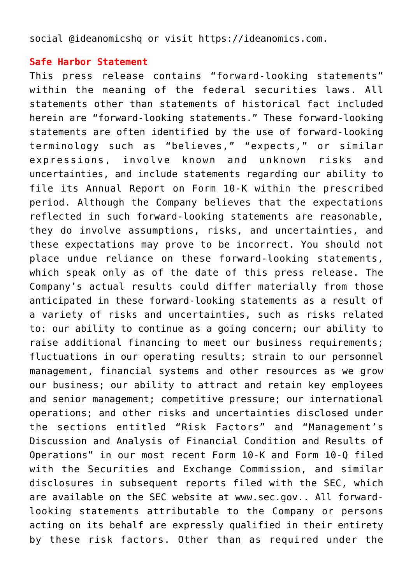social @ideanomicshq or visit [https://ideanomics.com](https://c212.net/c/link/?t=0&l=en&o=3455959-1&h=3292676154&u=https%3A%2F%2Fideanomics.com%2F&a=https%3A%2F%2Fideanomics.com).

## **Safe Harbor Statement**

This press release contains "forward-looking statements" within the meaning of the federal securities laws. All statements other than statements of historical fact included herein are "forward-looking statements." These forward-looking statements are often identified by the use of forward-looking terminology such as "believes," "expects," or similar expressions, involve known and unknown risks and uncertainties, and include statements regarding our ability to file its Annual Report on Form 10-K within the prescribed period. Although the Company believes that the expectations reflected in such forward-looking statements are reasonable, they do involve assumptions, risks, and uncertainties, and these expectations may prove to be incorrect. You should not place undue reliance on these forward-looking statements, which speak only as of the date of this press release. The Company's actual results could differ materially from those anticipated in these forward-looking statements as a result of a variety of risks and uncertainties, such as risks related to: our ability to continue as a going concern; our ability to raise additional financing to meet our business requirements; fluctuations in our operating results; strain to our personnel management, financial systems and other resources as we grow our business; our ability to attract and retain key employees and senior management; competitive pressure; our international operations; and other risks and uncertainties disclosed under the sections entitled "Risk Factors" and "Management's Discussion and Analysis of Financial Condition and Results of Operations" in our most recent Form 10-K and Form 10-Q filed with the Securities and Exchange Commission, and similar disclosures in subsequent reports filed with the SEC, which are available on the SEC website at [www.sec.gov..](https://c212.net/c/link/?t=0&l=en&o=3455959-1&h=1834066269&u=http%3A%2F%2Fwww.sec.gov.%2F&a=www.sec.gov..+) All forwardlooking statements attributable to the Company or persons acting on its behalf are expressly qualified in their entirety by these risk factors. Other than as required under the